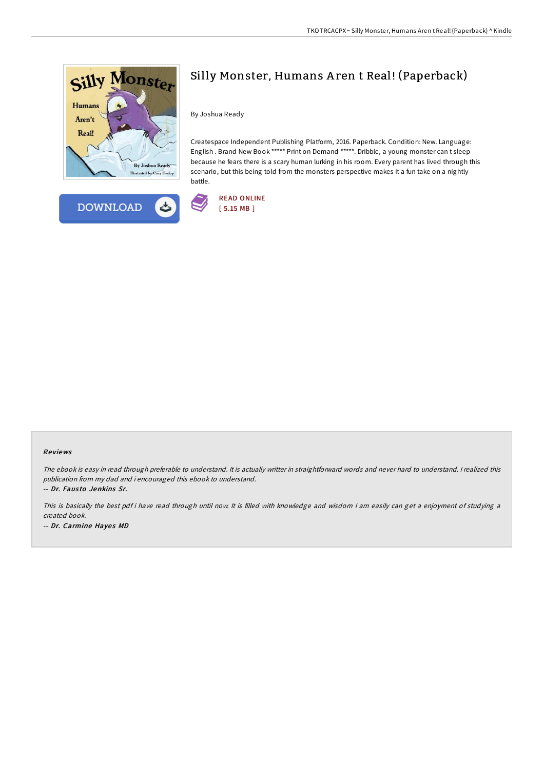

**DOWNLOAD** 

ئے



By Joshua Ready

Createspace Independent Publishing Platform, 2016. Paperback. Condition: New. Language: English . Brand New Book \*\*\*\*\* Print on Demand \*\*\*\*\*. Dribble, a young monster can t sleep because he fears there is a scary human lurking in his room. Every parent has lived through this scenario, but this being told from the monsters perspective makes it a fun take on a nightly battle.



## Re views

The ebook is easy in read through preferable to understand. It is actually writter in straightforward words and never hard to understand. I realized this publication from my dad and i encouraged this ebook to understand. -- Dr. Fausto Jenkins Sr.

This is basically the best pdf i have read through until now. It is filled with knowledge and wisdom I am easily can get a enjoyment of studying a created book. -- Dr. Carmine Hayes MD